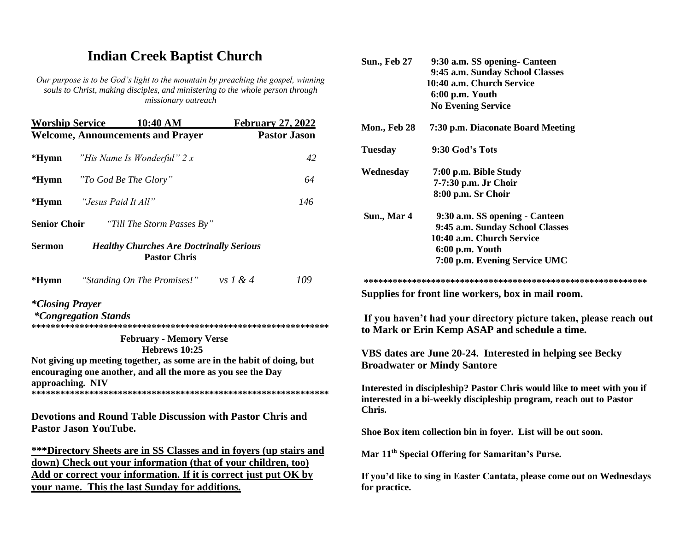## **Indian Creek Baptist Church**

*Our purpose is to be God's light to the mountain by preaching the gospel, winning souls to Christ, making disciples, and ministering to the whole person through missionary outreach*

| <b>Worship Service</b>                                                                  | 10:40 AM                                                                                                                               | <b>February 27, 2022</b> |  |
|-----------------------------------------------------------------------------------------|----------------------------------------------------------------------------------------------------------------------------------------|--------------------------|--|
|                                                                                         | <b>Welcome, Announcements and Prayer</b>                                                                                               | <b>Pastor Jason</b>      |  |
| $*Hymn$                                                                                 | "His Name Is Wonderful" 2 x                                                                                                            | 42                       |  |
| $*Hymn$                                                                                 | "To God Be The Glory"                                                                                                                  | 64                       |  |
| *Hymn                                                                                   | "Jesus Paid It All"                                                                                                                    | 146                      |  |
|                                                                                         | <b>Senior Choir</b> "Till The Storm Passes By"                                                                                         |                          |  |
| <b>Healthy Churches Are Doctrinally Serious</b><br><b>Sermon</b><br><b>Pastor Chris</b> |                                                                                                                                        |                          |  |
| $*Hymn$                                                                                 | "Standing On The Promises!" vs $1 & 4$                                                                                                 | 109                      |  |
| <i>*Closing Prayer</i>                                                                  | <i>*Congregation Stands</i>                                                                                                            |                          |  |
|                                                                                         | <b>February - Memory Verse</b><br>Hebrews 10:25                                                                                        |                          |  |
| approaching. NIV                                                                        | Not giving up meeting together, as some are in the habit of doing, but<br>encouraging one another, and all the more as you see the Day |                          |  |
|                                                                                         | <b>Devotions and Round Table Discussion with Pastor Chris and</b><br><b>Pastor Jason YouTube.</b>                                      |                          |  |
|                                                                                         | ***Directory Sheets are in SS Classes and in foyers (up stairs and<br>down) Check out your information (that of your children, too)    |                          |  |
|                                                                                         | Add or correct your information. If it is correct just put OK by<br>your name. This the last Sunday for additions.                     |                          |  |
|                                                                                         |                                                                                                                                        |                          |  |

| <b>Sun., Feb 27</b> | 9:30 a.m. SS opening- Canteen                                                                                                                  |
|---------------------|------------------------------------------------------------------------------------------------------------------------------------------------|
|                     | 9:45 a.m. Sunday School Classes                                                                                                                |
|                     | 10:40 a.m. Church Service                                                                                                                      |
|                     | 6:00 p.m. Youth                                                                                                                                |
|                     | <b>No Evening Service</b>                                                                                                                      |
| <b>Mon., Feb 28</b> | 7:30 p.m. Diaconate Board Meeting                                                                                                              |
| <b>Tuesday</b>      | 9:30 God's Tots                                                                                                                                |
| Wednesday           | 7:00 p.m. Bible Study                                                                                                                          |
|                     | 7-7:30 p.m. Jr Choir                                                                                                                           |
|                     | 8:00 p.m. Sr Choir                                                                                                                             |
| Sun., Mar 4         | 9:30 a.m. SS opening - Canteen                                                                                                                 |
|                     | 9:45 a.m. Sunday School Classes                                                                                                                |
|                     | 10:40 a.m. Church Service                                                                                                                      |
|                     | 6:00 p.m. Youth                                                                                                                                |
|                     | 7:00 p.m. Evening Service UMC                                                                                                                  |
|                     |                                                                                                                                                |
|                     | Supplies for front line workers, box in mail room.                                                                                             |
|                     | If you haven't had your directory picture taken, please reach out<br>to Mark or Erin Kemp ASAP and schedule a time.                            |
|                     | VBS dates are June 20-24. Interested in helping see Becky                                                                                      |
|                     | <b>Broadwater or Mindy Santore</b>                                                                                                             |
| Chris.              | Interested in discipleship? Pastor Chris would like to meet with you if<br>interested in a bi-weekly discipleship program, reach out to Pastor |
|                     | Shoe Box item collection bin in foyer. List will be out soon.                                                                                  |
|                     | Mar 11 <sup>th</sup> Special Offering for Samaritan's Purse.                                                                                   |
| for practice.       | If you'd like to sing in Easter Cantata, please come out on Wednesdays                                                                         |